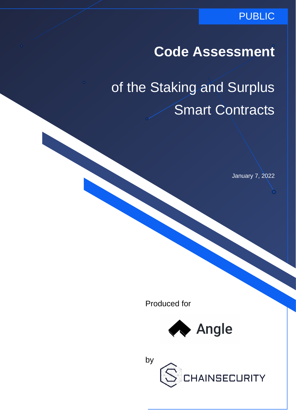### PUBLIC

# **Code Assessment**

# of the Staking and Surplus Smart Contracts

January 7, 2022

Produced for



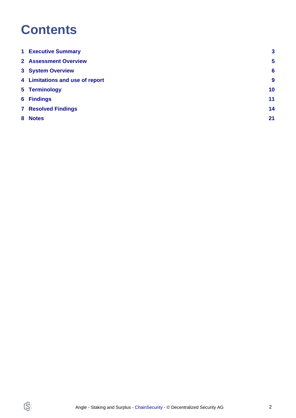# **Contents**

 $\circledS$ 

| <b>1 Executive Summary</b>      | 3               |
|---------------------------------|-----------------|
| <b>2</b> Assessment Overview    | $5\phantom{1}$  |
| <b>3 System Overview</b>        | 6               |
| 4 Limitations and use of report | 9               |
| 5 Terminology                   | 10 <sub>1</sub> |
| <b>6 Findings</b>               | 11              |
| <b>7 Resolved Findings</b>      | 14              |
| 8 Notes                         | 21              |
|                                 |                 |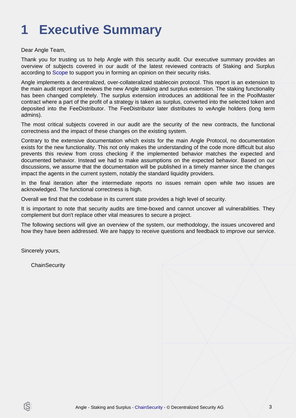# <span id="page-2-0"></span>**1 Executive Summary**

#### Dear Angle Team,

Thank you for trusting us to help Angle with this security audit. Our executive summary provides an overview of subjects covered in our audit of the latest reviewed contracts of Staking and Surplus according to [Scope](#page-4-1) to support you in forming an opinion on their security risks.

Angle implements a decentralized, over-collateralized stablecoin protocol. This report is an extension to the main audit report and reviews the new Angle staking and surplus extension. The staking functionality has been changed completely. The surplus extension introduces an additional fee in the PoolMaster contract where a part of the profit of a strategy is taken as surplus, converted into the selected token and deposited into the FeeDistributor. The FeeDistributor later distributes to veAngle holders (long term admins).

The most critical subjects covered in our audit are the security of the new contracts, the functional correctness and the impact of these changes on the existing system.

Contrary to the extensive documentation which exists for the main Angle Protocol, no documentation exists for the new functionality. This not only makes the understanding of the code more difficult but also prevents this review from cross checking if the implemented behavior matches the expected and documented behavior. Instead we had to make assumptions on the expected behavior. Based on our discussions, we assume that the documentation will be published in a timely manner since the changes impact the agents in the current system, notably the standard liquidity providers.

In the final iteration after the intermediate reports no issues remain open while two issues are acknowledged. The functional correctness is high.

Overall we find that the codebase in its current state provides a high level of security.

It is important to note that security audits are time-boxed and cannot uncover all vulnerabilities. They complement but don't replace other vital measures to secure a project.

The following sections will give an overview of the system, our methodology, the issues uncovered and how they have been addressed. We are happy to receive questions and feedback to improve our service.

Sincerely yours,

ß

**ChainSecurity**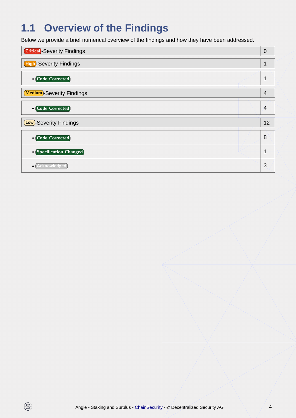# **1.1 Overview of the Findings**

Below we provide a brief numerical overview of the findings and how they have been addressed.

| <b>Critical</b> -Severity Findings | $\overline{0}$ |
|------------------------------------|----------------|
| <b>High-Severity Findings</b>      | 1              |
| • Code Corrected                   | 1              |
| <b>Medium</b> -Severity Findings   | $\overline{4}$ |
| • Code Corrected                   | $\overline{A}$ |
| (Low)-Severity Findings            | 12             |
| <b>• Code Corrected</b>            | 8              |
| • Specification Changed            | 1              |
| cknowledge                         | 3              |

 $\circledS$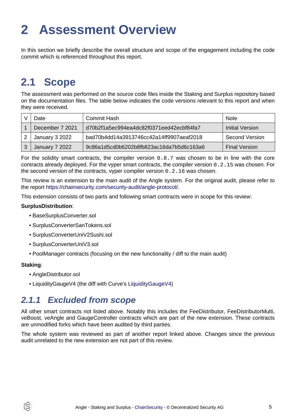# <span id="page-4-0"></span>**2 Assessment Overview**

In this section we briefly describe the overall structure and scope of the engagement including the code commit which is referenced throughout this report.

## <span id="page-4-1"></span>**2.1 Scope**

The assessment was performed on the source code files inside the Staking and Surplus repository based on the documentation files. The table below indicates the code versions relevant to this report and when they were received.

| Date            | Commit Hash                              | <b>Note</b>          |
|-----------------|------------------------------------------|----------------------|
| December 7 2021 | d70b2f1a5ec994ea4dc82f0371eed42ecbf84fa7 | Initial Version      |
| January 3 2022  | bad70b4dd14a3913746cc42a14ff9907aeaf2018 | Second Version       |
| January 7 2022  | 9c86a1d5cd0b6202b8fb823ac16da7b5d6c163a6 | <b>Final Version</b> |

For the solidity smart contracts, the compiler version 0.8.7 was chosen to be in line with the core contracts already deployed. For the vyper smart contracts, the compiler version 0.2.15 was chosen. For the second version of the contracts, vyper compiler version 0.2.16 was chosen.

This review is an extension to the main audit of the Angle system. For the original audit, please refer to the report [https://chainsecurity.com/security-audit/angle-protocol/.](https://chainsecurity.com/security-audit/angle-protocol/)

This extension consists of two parts and following smart contracts were in scope for this review:

#### **SurplusDistribution**:

- BaseSurplusConverter.sol
- SurplusConverterSanTokens.sol
- SurplusConverterUniV2Sushi.sol
- SurplusConverterUniV3.sol
- PoolManager contracts (focusing on the new functionality / diff to the main audit)

#### **Staking**:

- AngleDistributor.sol
- LiquidityGaugeV4 (the diff with Curve's [LiquidityGaugeV4\)](https://github.com/curvefi/curve-dao-contracts/blob/f1e11c83bc343bfbdddaaec20171774125878e91/contracts/gauges/LiquidityGaugeV4.vy)

### **2.1.1 Excluded from scope**

All other smart contracts not listed above. Notably this includes the FeeDistributor, FeeDistributorMulti, veBoost, veAngle and GaugeController contracts which are part of the new extension. These contracts are unmodified forks which have been audited by third parties.

The whole system was reviewed as part of another report linked above. Changes since the previous audit unrelated to the new extension are not part of this review.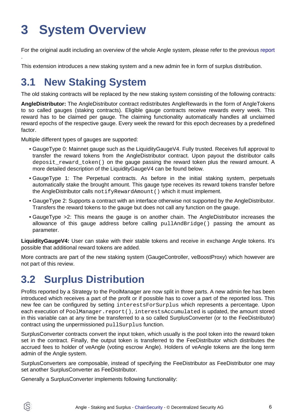# <span id="page-5-0"></span>**3 System Overview**

For the original audit including an overview of the whole Angle system, please refer to the previous [report](https://chainsecurity.com/security-audit/angle-protocol/)

This extension introduces a new staking system and a new admin fee in form of surplus distribution.

## **3.1 New Staking System**

.

ÍS)

The old staking contracts will be replaced by the new staking system consisting of the following contracts:

**AngleDistributor:** The AngleDistributor contract redistributes AngleRewards in the form of AngleTokens to so called gauges (staking contracts). Eligible gauge contracts receive rewards every week. This reward has to be claimed per gauge. The claiming functionality automatically handles all unclaimed reward epochs of the respective gauge. Every week the reward for this epoch decreases by a predefined factor.

Multiple different types of gauges are supported:

- GaugeType 0: Mainnet gauge such as the LiquidityGaugeV4. Fully trusted. Receives full approval to transfer the reward tokens from the AngleDistributor contract. Upon payout the distributor calls deposit\_reward\_token() on the gauge passing the reward token plus the reward amount. A more detailed description of the LiquidityGaugeV4 can be found below.
- GaugeType 1: The Perpetual contracts. As before in the initial staking system, perpetuals automatically stake the brought amount. This gauge type receives its reward tokens transfer before the AngleDistributor calls notifyRewardAmount() which it must implement.
- GaugeType 2: Supports a contract with an interface otherwise not supported by the AngleDistributor. Transfers the reward tokens to the gauge but does not call any function on the gauge.
- GaugeType >2: This means the gauge is on another chain. The AngleDistributor increases the allowance of this gauge address before calling pullAndBridge() passing the amount as parameter.

**LiquidityGaugeV4:** User can stake with their stable tokens and receive in exchange Angle tokens. It's possible that additional reward tokens are added.

More contracts are part of the new staking system (GaugeController, veBoostProxy) which however are not part of this review.

# **3.2 Surplus Distribution**

Profits reported by a Strategy to the PoolManager are now split in three parts. A new admin fee has been introduced which receives a part of the profit or if possible has to cover a part of the reported loss. This new fee can be configured by setting interestsForSurplus which represents a percentage. Upon each execution of PoolManager.report(), interestsAccumulated is updated, the amount stored in this variable can at any time be transferred to a so called SurplusConverter (or to the FeeDistributor) contract using the unpermissioned pullSurplus function.

SurplusConverter contracts convert the input token, which usually is the pool token into the reward token set in the contract. Finally, the output token is transferred to the FeeDistributor which distributes the accrued fees to holder of veAngle (voting escrow Angle). Holders of veAngle tokens are the long term admin of the Angle system.

SurplusConverters are composable, instead of specifying the FeeDistributor as FeeDistributor one may set another SurplusConverter as FeeDistributor.

Generally a SurplusConverter implements following functionality: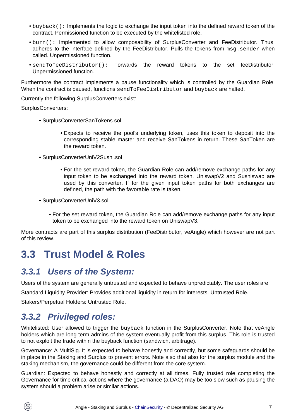- buyback(): Implements the logic to exchange the input token into the defined reward token of the contract. Permissioned function to be executed by the whitelisted role.
- burn(): Implemented to allow composability of SurplusConverter and FeeDistributor. Thus, adheres to the interface defined by the FeeDistributor. Pulls the tokens from msq.sender when called. Unpermissioned function.
- sendToFeeDistributor(): Forwards the reward tokens to the set feeDistributor. Unpermissioned function.

Furthermore the contract implements a pause functionality which is controlled by the Guardian Role. When the contract is paused, functions sendToFeeDistributor and buyback are halted.

Currently the following SurplusConverters exist:

SurplusConverters:

- SurplusConverterSanTokens.sol
	- Expects to receive the pool's underlying token, uses this token to deposit into the corresponding stable master and receive SanTokens in return. These SanToken are the reward token.
- SurplusConverterUniV2Sushi.sol
	- For the set reward token, the Guardian Role can add/remove exchange paths for any input token to be exchanged into the reward token. UniswapV2 and Sushiswap are used by this converter. If for the given input token paths for both exchanges are defined, the path with the favorable rate is taken.
- SurplusConverterUniV3.sol
	- For the set reward token, the Guardian Role can add/remove exchange paths for any input token to be exchanged into the reward token on UniswapV3.

More contracts are part of this surplus distribution (FeeDistributor, veAngle) which however are not part of this review.

## **3.3 Trust Model & Roles**

### **3.3.1 Users of the System:**

Users of the system are generally untrusted and expected to behave unpredictably. The user roles are:

Standard Liquidity Provider: Provides additional liquidity in return for interests. Untrusted Role.

Stakers/Perpetual Holders: Untrusted Role.

### **3.3.2 Privileged roles:**

Whitelisted: User allowed to trigger the buyback function in the SurplusConverter. Note that veAngle holders which are long term admins of the system eventually profit from this surplus. This role is trusted to not exploit the trade within the buyback function (sandwich, arbitrage).

Governance: A MultiSig. It is expected to behave honestly and correctly, but some safeguards should be in place in the Staking and Surplus to prevent errors. Note also that also for the surplus module and the staking mechanism, the governance could be different from the core system.

Guardian: Expected to behave honestly and correctly at all times. Fully trusted role completing the Governance for time critical actions where the governance (a DAO) may be too slow such as pausing the system should a problem arise or similar actions.

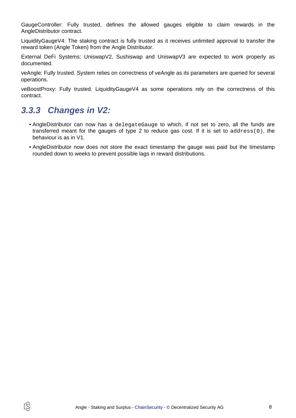GaugeController: Fully trusted, defines the allowed gauges eligible to claim rewards in the AngleDistributor contract.

LiquidityGaugeV4: The staking contract is fully trusted as it receives unlimited approval to transfer the reward token (Angle Token) from the Angle Distributor.

External DeFi Systems: UniswapV2, Sushiswap and UniswapV3 are expected to work properly as documented.

veAngle: Fully trusted. System relies on correctness of veAngle as its parameters are queried for several operations.

veBoostProxy: Fully trusted. LiquidityGaugeV4 as some operations rely on the correctness of this contract.

### **3.3.3 Changes in V2:**

IS.

- AngleDistributor can now has a delegateGauge to which, if not set to zero, all the funds are transferred meant for the gauges of type 2 to reduce gas cost. If it is set to address(0), the behaviour is as in V1.
- AngleDistributor now does not store the exact timestamp the gauge was paid but the timestamp rounded down to weeks to prevent possible lags in reward distributions.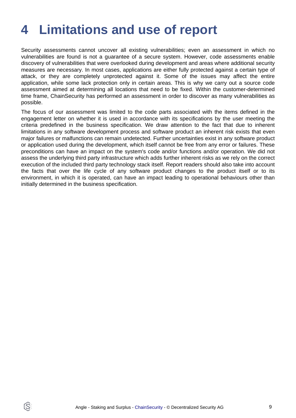# <span id="page-8-0"></span>**4 Limitations and use of report**

Security assessments cannot uncover all existing vulnerabilities; even an assessment in which no vulnerabilities are found is not a guarantee of a secure system. However, code assessments enable discovery of vulnerabilities that were overlooked during development and areas where additional security measures are necessary. In most cases, applications are either fully protected against a certain type of attack, or they are completely unprotected against it. Some of the issues may affect the entire application, while some lack protection only in certain areas. This is why we carry out a source code assessment aimed at determining all locations that need to be fixed. Within the customer-determined time frame, ChainSecurity has performed an assessment in order to discover as many vulnerabilities as possible.

The focus of our assessment was limited to the code parts associated with the items defined in the engagement letter on whether it is used in accordance with its specifications by the user meeting the criteria predefined in the business specification. We draw attention to the fact that due to inherent limitations in any software development process and software product an inherent risk exists that even major failures or malfunctions can remain undetected. Further uncertainties exist in any software product or application used during the development, which itself cannot be free from any error or failures. These preconditions can have an impact on the system's code and/or functions and/or operation. We did not assess the underlying third party infrastructure which adds further inherent risks as we rely on the correct execution of the included third party technology stack itself. Report readers should also take into account the facts that over the life cycle of any software product changes to the product itself or to its environment, in which it is operated, can have an impact leading to operational behaviours other than initially determined in the business specification.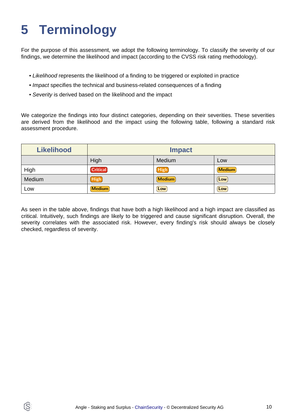# <span id="page-9-0"></span>**5 Terminology**

ĺS

For the purpose of this assessment, we adopt the following terminology. To classify the severity of our findings, we determine the likelihood and impact (according to the CVSS risk rating methodology).

- Likelihood represents the likelihood of a finding to be triggered or exploited in practice
- Impact specifies the technical and business-related consequences of a finding
- Severity is derived based on the likelihood and the impact

We categorize the findings into four distinct categories, depending on their severities. These severities are derived from the likelihood and the impact using the following table, following a standard risk assessment procedure.

| <b>Likelihood</b> | <b>Impact</b>   |             |               |
|-------------------|-----------------|-------------|---------------|
|                   | High            | Medium      | Low           |
| High              | <b>Critical</b> | <b>High</b> | <b>Medium</b> |
| Medium            | High            | Medium      | $\lfloor$ Low |
| Low               | <b>Medium</b>   | Low         | Low           |

As seen in the table above, findings that have both a high likelihood and a high impact are classified as critical. Intuitively, such findings are likely to be triggered and cause significant disruption. Overall, the severity correlates with the associated risk. However, every finding's risk should always be closely checked, regardless of severity.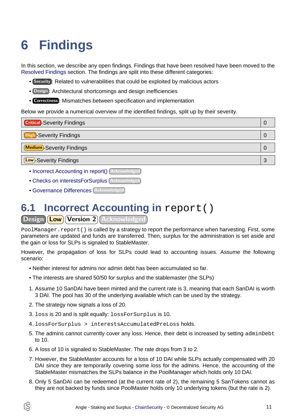# <span id="page-10-2"></span><span id="page-10-0"></span>**6 Findings**

In this section, we describe any open findings. Findings that have been resolved have been moved to the [Resolved Findings](#page-13-1) section. The findings are split into these different categories:

- Security : Related to vulnerabilities that could be exploited by malicious actors
- Design : Architectural shortcomings and design inefficiencies
- Correctness : Mismatches between specification and implementation

Below we provide a numerical overview of the identified findings, split up by their severity.

| <b>Critical</b> -Severity Findings |   |
|------------------------------------|---|
| <b>High-Severity Findings</b>      | Ü |
| <b>Medium</b> -Severity Findings   |   |
| <b>Low</b> -Severity Findings      | 3 |

- [Incorrect Accounting in report\(\)](#page-10-1) Acknowledged
- [Checks on interestsForSurplus](#page-11-0) (Acknowledged
- [Governance Differences](#page-11-1) Acknowledged

# <span id="page-10-1"></span>**6.1 Incorrect Accounting in report()**

Design **Low** Version 2 Acknowledged

PoolManager. report() is called by a strategy to report the performance when harvesting. First, some parameters are updated and funds are transferred. Then, surplus for the administration is set aside and the gain or loss for SLPs is signaled to StableMaster.

However, the propagation of loss for SLPs could lead to accounting issues. Assume the following scenario:

- Neither interest for admins nor admin debt has been accumulated so far.
- The interests are shared 50/50 for surplus and the stablemaster (the SLPs)
- 1. Assume 10 SanDAI have been minted and the current rate is 3, meaning that each SanDAI is worth 3 DAI. The pool has 30 of the underlying available which can be used by the strategy.
- 2. The strategy now signals a loss of 20.
- 3. loss is 20 and is split equally: lossForSurplus is 10.
- 4. lossForSurplus > interestsAccumulatedPreLoss holds.
- 5. The admins cannot currently cover any loss. Hence, their debt is increased by setting adminDebt to 10.
- 6. A loss of 10 is signaled to StableMaster. The rate drops from 3 to 2.
- 7. However, the StableMaster accounts for a loss of 10 DAI while SLPs actually compensated with 20 DAI since they are temporarily covering some loss for the admins. Hence, the accounting of the StableMaster mismatches the SLPs balance in the PoolManager which holds only 10 DAI.
- 8. Only 5 SanDAI can be redeemed (at the current rate of 2), the remaining 5 SanTokens cannot as they are not backed by funds since PoolMaster holds only 10 underlying tokens (but the rate is 2).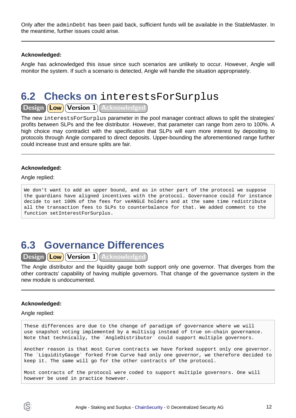Only after the adminDebt has been paid back, sufficient funds will be available in the StableMaster. In the meantime, further issues could arise.

#### **Acknowledged:**

Angle has acknowledged this issue since such scenarios are unlikely to occur. However, Angle will monitor the system. If such a scenario is detected, Angle will handle the situation appropriately.

### <span id="page-11-0"></span>**6.2 Checks on** interestsForSurplus

Design (Low) Version 1 Acknowledged

The new interestsForSurplus parameter in the pool manager contract allows to split the strategies' profits between SLPs and the fee distributor. However, that parameter can range from zero to 100%. A high choice may contradict with the specification that SLPs will earn more interest by depositing to protocols through Angle compared to direct deposits. Upper-bounding the aforementioned range further could increase trust and ensure splits are fair.

#### **Acknowledged:**

#### Angle replied:

We don't want to add an upper bound, and as in other part of the protocol we suppose the guardians have aligned incentives with the protocol. Governance could for instance decide to set 100% of the fees for veANGLE holders and at the same time redistribute all the transaction fees to SLPs to counterbalance for that. We added comment to the function setInterestForSurplus.

## <span id="page-11-1"></span>**6.3 Governance Differences**

Design (Low) Version 1 Acknowledged

The Angle distributor and the liquidity gauge both support only one governor. That diverges from the other contracts' capability of having multiple governors. That change of the governance system in the new module is undocumented.

#### **Acknowledged:**

#### Angle replied:

These differences are due to the change of paradigm of governance where we will use snapshot voting implemented by a multisig instead of true on-chain governance. Note that technically, the `AngleDistributor` could support multiple governors.

Another reason is that most Curve contracts we have forked support only one governor. The `LiquidityGauge` forked from Curve had only one governor, we therefore decided to keep it. The same will go for the other contracts of the protocol.

Most contracts of the protocol were coded to support multiple governors. One will however be used in practice however.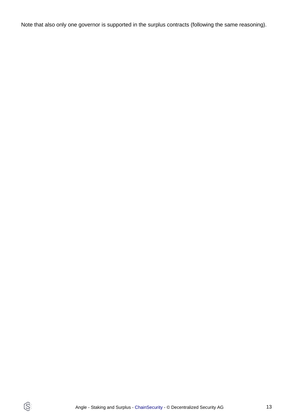Note that also only one governor is supported in the surplus contracts (following the same reasoning).

 $\circledS$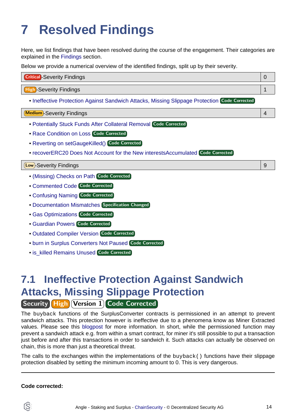# <span id="page-13-1"></span><span id="page-13-0"></span>**7 Resolved Findings**

Here, we list findings that have been resolved during the course of the engagement. Their categories are explained in the [Findings](#page-10-2) section.

Below we provide a numerical overview of the identified findings, split up by their severity.

| <b>Critical</b> -Severity Findings |  |
|------------------------------------|--|
|                                    |  |
| -Severity Findings                 |  |

• [Ineffective Protection Against Sandwich Attacks, Missing Slippage Protection](#page-13-2) Code Corrected

Medium -Severity Findings 4

- [Potentially Stuck Funds After Collateral Removal](#page-14-0) Code Corrected
- [Race Condition on Loss](#page-14-1) Code Corrected
- [Reverting on setGaugeKilled\(\)](#page-14-2) Code Corrected
- [recoverERC20 Does Not Account for the New interestsAccumulated](#page-15-0) Code Corrected

#### Low -Severity Findings 9

- [\(Missing\) Checks on Path](#page-15-1) Code Corrected
- [Commented Code](#page-16-0) Code Corrected
- [Confusing Naming](#page-16-1) Code Corrected
- [Documentation Mismatches](#page-17-0) Specification Changed
- [Gas Optimizations](#page-17-1) Code Corrected
- [Guardian Powers](#page-18-0) Code Corrected
- **[Outdated Compiler Version](#page-18-1) Code Corrected**
- [burn in Surplus Converters Not Paused](#page-18-2) Code Corrected
- **[is\\_killed Remains Unused](#page-18-3) Code Corrected**

# <span id="page-13-2"></span>**7.1 Ineffective Protection Against Sandwich Attacks, Missing Slippage Protection**

Security High Version 1 Code Corrected

The buyback functions of the SurplusConverter contracts is permissioned in an attempt to prevent sandwich attacks. This protection however is ineffective due to a phenomena know as Miner Extracted values. Please see thi[s blogpost](https://blog.chain.link/what-is-miner-extractable-value-mev/) for more information. In short, while the permissioned function may prevent a sandwich attack e.g. from within a smart contract, for miner it's still possible to put a transaction just before and after this transactions in order to sandwich it. Such attacks can actually be observed on chain, this is more than just a theoretical threat.

The calls to the exchanges within the implementations of the buyback() functions have their slippage protection disabled by setting the minimum incoming amount to 0. This is very dangerous.

#### **Code corrected:**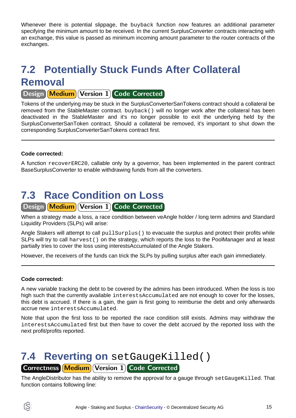Whenever there is potential slippage, the buyback function now features an additional parameter specifying the minimum amount to be received. In the current SurplusConverter contracts interacting with an exchange, this value is passed as minimum incoming amount parameter to the router contracts of the exchanges.

# <span id="page-14-0"></span>**7.2 Potentially Stuck Funds After Collateral Removal**

#### Design Medium Version 1 Code Corrected

Tokens of the underlying may be stuck in the SurplusConverterSanTokens contract should a collateral be removed from the StableMaster contract. buyback() will no longer work after the collateral has been deactivated in the StableMaster and it's no longer possible to exit the underlying held by the SurplusConverterSanToken contract. Should a collateral be removed, it's important to shut down the corresponding SurplusConverterSanTokens contract first.

#### **Code corrected:**

A function recoverERC20, callable only by a governor, has been implemented in the parent contract BaseSurplusConverter to enable withdrawing funds from all the converters.

# <span id="page-14-1"></span>**7.3 Race Condition on Loss**

Design Medium Version 1 Code Corrected

When a strategy made a loss, a race condition between veAngle holder / long term admins and Standard Liquidity Providers (SLPs) will arise:

Angle Stakers will attempt to call pullSurplus() to evacuate the surplus and protect their profits while SLPs will try to call harvest() on the strategy, which reports the loss to the PoolManager and at least partially tries to cover the loss using interestsAccumulated of the Angle Stakers.

However, the receivers of the funds can trick the SLPs by pulling surplus after each gain immediately.

#### **Code corrected:**

A new variable tracking the debt to be covered by the admins has been introduced. When the loss is too high such that the currently available interestsAccumulated are not enough to cover for the losses, this debt is accrued. If there is a gain, the gain is first going to reimburse the debt and only afterwards accrue new interestsAccumulated.

Note that upon the first loss to be reported the race condition still exists. Admins may withdraw the interestsAccumulated first but then have to cover the debt accrued by the reported loss with the next profit/profits reported.

### <span id="page-14-2"></span>**7.4 Reverting on** setGaugeKilled() Correctness Medium Version 1 Code Corrected

The AngleDistributor has the ability to remove the approval for a gauge through setGaugeKilled. That function contains following line:

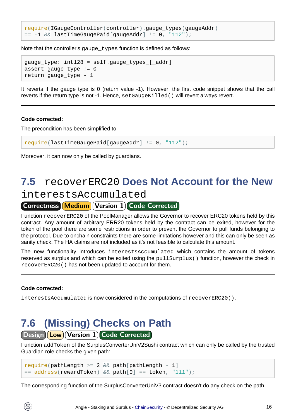```
require(IGaugeController(controller).gauge_types(gaugeAddr)
= -1 && lastTimeGaugePaid[gaugeAddr] != 0, "112");
```
Note that the controller's gauge types function is defined as follows:

```
gauge_type: int128 = self.gauge_types_[_addr]
assert gauge_type != 0
return gauge_type - 1
```
It reverts if the gauge type is 0 (return value -1). However, the first code snippet shows that the call reverts if the return type is not -1. Hence, setGaugeKilled() will revert always revert.

#### **Code corrected:**

The precondition has been simplified to

require(lastTimeGaugePaid[gaugeAddr] != 0, "112");

Moreover, it can now only be called by guardians.

### <span id="page-15-0"></span>**7.5** recoverERC20 **Does Not Account for the New** interestsAccumulated

#### Correctness Medium Version 1 Code Corrected

Function recoverERC20 of the PoolManager allows the Governor to recover ERC20 tokens held by this contract. Any amount of arbitrary ERR20 tokens held by the contract can be exited, however for the token of the pool there are some restrictions in order to prevent the Governor to pull funds belonging to the protocol. Due to onchain constraints there are some limitations however and this can only be seen as sanity check. The HA claims are not included as it's not feasible to calculate this amount.

The new functionality introduces interestsAccumulated which contains the amount of tokens reserved as surplus and which can be exited using the pullSurplus() function, however the check in recoverERC20() has not been updated to account for them.

#### **Code corrected:**

interestsAccumulated is now considered in the computations of recoverERC20().

## <span id="page-15-1"></span>**7.6 (Missing) Checks on Path**

Design **Low** Version 1 Code Corrected

Function addToken of the SurplusConverterUniV2Sushi contract which can only be called by the trusted Guardian role checks the given path:

```
require(pathLength \geq 2 \& path[pathLength - 1]= address(rewardToken) && path[0] == token, "111");
```
The corresponding function of the SurplusConverterUniV3 contract doesn't do any check on the path.

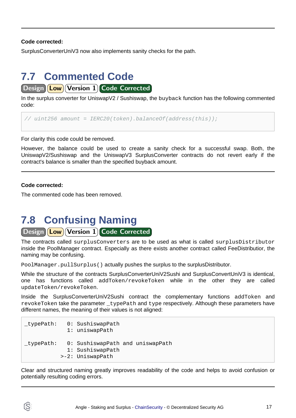**Code corrected:**

SurplusConverterUniV3 now also implements sanity checks for the path.

# <span id="page-16-0"></span>**7.7 Commented Code**

Design | **Low** | Version 1 Code Corrected

In the surplus converter for UniswapV2 / Sushiswap, the buyback function has the following commented code:

// uint256 amount =  $IERC20(token)$ .balanceOf(address(this));

For clarity this code could be removed.

However, the balance could be used to create a sanity check for a successful swap. Both, the UniswapV2/Sushiswap and the UniswapV3 SurplusConverter contracts do not revert early if the contract's balance is smaller than the specified buyback amount.

#### **Code corrected:**

The commented code has been removed.

## <span id="page-16-1"></span>**7.8 Confusing Naming**

#### Design **Low** Version 1 Code Corrected

The contracts called surplusConverters are to be used as what is called surplusDistributor inside the PoolManager contract. Especially as there exists another contract called FeeDistributior, the naming may be confusing.

PoolManager.pullSurplus() actually pushes the surplus to the surplusDistributor.

While the structure of the contracts SurplusConverterUniV2Sushi and SurplusConvertUniV3 is identical, one has functions called addToken/revokeToken while in the other they are called updateToken/revokeToken.

Inside the SurplusConverterUniV2Sushi contract the complementary functions addToken and revokeToken take the parameter typePath and type respectively. Although these parameters have different names, the meaning of their values is not aligned:

```
_typePath: 0: SushiswapPath
              1: uniswapPath
_typePath: 0: SushiswapPath and uniswapPath
              1: SushiswapPath
            >-2: UniswapPath
```
Clear and structured naming greatly improves readability of the code and helps to avoid confusion or potentially resulting coding errors.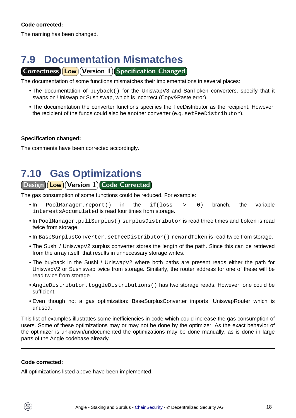#### **Code corrected:**

The naming has been changed.

# <span id="page-17-0"></span>**7.9 Documentation Mismatches**

#### Correctness **Low Version 1** Specification Changed

The documentation of some functions mismatches their implementations in several places:

- The documentation of buyback() for the UniswapV3 and SanToken converters, specify that it swaps on Uniswap or Sushiswap, which is incorrect (Copy&Paste error).
- The documentation the converter functions specifies the FeeDistributor as the recipient. However, the recipient of the funds could also be another converter (e.g. setFeeDistributor).

#### **Specification changed:**

The comments have been corrected accordingly.

## <span id="page-17-1"></span>**7.10 Gas Optimizations**

#### Design **Low** Version 1 Code Corrected

The gas consumption of some functions could be reduced. For example:

- In PoolManager.report() in the if(loss > 0) branch, the variable interestsAccumulated is read four times from storage.
- In PoolManager.pullSurplus() surplusDistributor is read three times and token is read twice from storage.
- In BaseSurplusConverter.setFeeDistributor() rewardToken is read twice from storage.
- The Sushi / UniswapV2 surplus converter stores the length of the path. Since this can be retrieved from the array itself, that results in unnecessary storage writes.
- The buyback in the Sushi / UniswapV2 where both paths are present reads either the path for UniswapV2 or Sushiswap twice from storage. Similarly, the router address for one of these will be read twice from storage.
- AngleDistributor.toggleDistributions() has two storage reads. However, one could be sufficient.
- Even though not a gas optimization: BaseSurplusConverter imports IUniswapRouter which is unused.

This list of examples illustrates some inefficiencies in code which could increase the gas consumption of users. Some of these optimizations may or may not be done by the optimizer. As the exact behavior of the optimizer is unknown/undocumented the optimizations may be done manually, as is done in large parts of the Angle codebase already.

#### **Code corrected:**

All optimizations listed above have been implemented.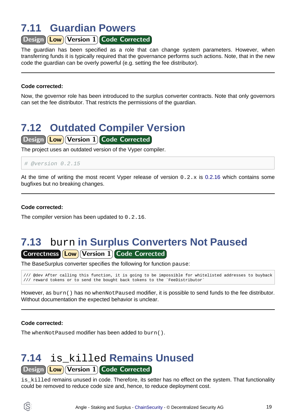# <span id="page-18-0"></span>**7.11 Guardian Powers**

Design **Low** Version 1 Code Corrected

The guardian has been specified as a role that can change system parameters. However, when transferring funds it is typically required that the governance performs such actions. Note, that in the new code the guardian can be overly powerful (e.g. setting the fee distributor).

#### **Code corrected:**

Now, the governor role has been introduced to the surplus converter contracts. Note that only governors can set the fee distributor. That restricts the permissions of the guardian.

# <span id="page-18-1"></span>**7.12 Outdated Compiler Version**

Design **Low** Version 1 Code Corrected

The project uses an outdated version of the Vyper compiler.

```
# @version 0.2.15
```
At the time of writing the most recent Vyper release of version  $0.2.x$  [is 0.2.16](https://vyper.readthedocs.io/en/stable/release-notes.html#v0-2-16) which contains some bugfixes but no breaking changes.

#### **Code corrected:**

The compiler version has been updated to 0.2.16.

### <span id="page-18-2"></span>**7.13** burn **in Surplus Converters Not Paused** Correctness **Low Version 1 Code Corrected**

The BaseSurplus converter specifies the following for function pause:

/// @dev After calling this function, it is going to be impossible for whitelisted addresses to buyback /// reward tokens or to send the bought back tokens to the `FeeDistributor`

However, as burn() has no whenNotPaused modifier, it is possible to send funds to the fee distributor. Without documentation the expected behavior is unclear.

#### **Code corrected:**

The whenNotPaused modifier has been added to burn().

## <span id="page-18-3"></span>**7.14** is\_killed **Remains Unused**

Design **Low** Version 1 Code Corrected

is\_killed remains unused in code. Therefore, its setter has no effect on the system. That functionality could be removed to reduce code size and, hence, to reduce deployment cost.

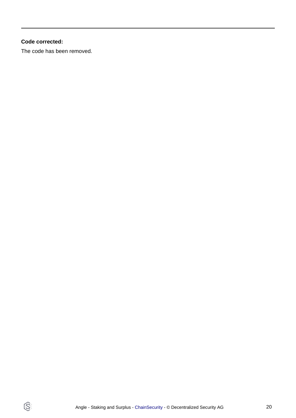#### **Code corrected:**

 $\circledS$ 

The code has been removed.